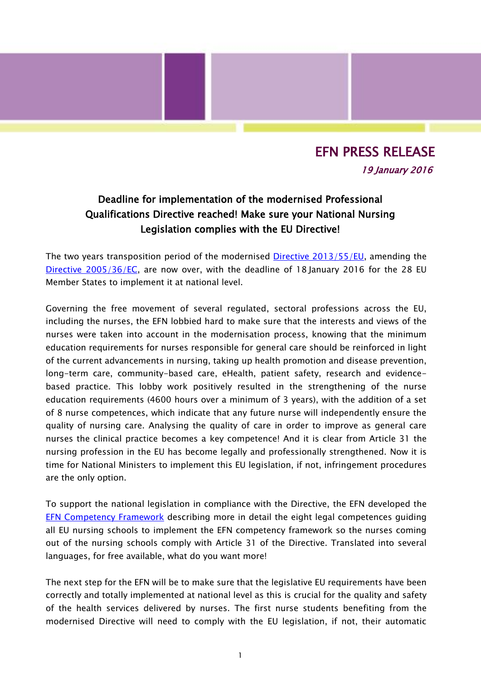## EFN PRESS RELEASE 19 January 2016

## Deadline for implementation of the modernised Professional Qualifications Directive reached! Make sure your National Nursing Legislation complies with the EU Directive!

The two years transposition period of the modernised [Directive 2013/55/EU,](http://eur-lex.europa.eu/legal-content/EN/TXT/?uri=CELEX%3A32013L0055) amending the Directive [2005/36/EC,](http://ec.europa.eu/growth/single-market/services/free-movement-professionals/policy/legislation/index_en.htm) are now over, with the deadline of 18 January 2016 for the 28 EU Member States to implement it at national level.

Governing the free movement of several regulated, sectoral professions across the EU, including the nurses, the EFN lobbied hard to make sure that the interests and views of the nurses were taken into account in the modernisation process, knowing that the minimum education requirements for nurses responsible for general care should be reinforced in light of the current advancements in nursing, taking up health promotion and disease prevention, long-term care, community-based care, eHealth, patient safety, research and evidencebased practice. This lobby work positively resulted in the strengthening of the nurse education requirements (4600 hours over a minimum of 3 years), with the addition of a set of 8 nurse competences, which indicate that any future nurse will independently ensure the quality of nursing care. Analysing the quality of care in order to improve as general care nurses the clinical practice becomes a key competence! And it is clear from Article 31 the nursing profession in the EU has become legally and professionally strengthened. Now it is time for National Ministers to implement this EU legislation, if not, infringement procedures are the only option.

To support the national legislation in compliance with the Directive, the EFN developed the [EFN Competency Framework](http://www.efnweb.be/?page_id=6897) describing more in detail the eight legal competences guiding all EU nursing schools to implement the EFN competency framework so the nurses coming out of the nursing schools comply with Article 31 of the Directive. Translated into several languages, for free available, what do you want more!

The next step for the EFN will be to make sure that the legislative EU requirements have been correctly and totally implemented at national level as this is crucial for the quality and safety of the health services delivered by nurses. The first nurse students benefiting from the modernised Directive will need to comply with the EU legislation, if not, their automatic